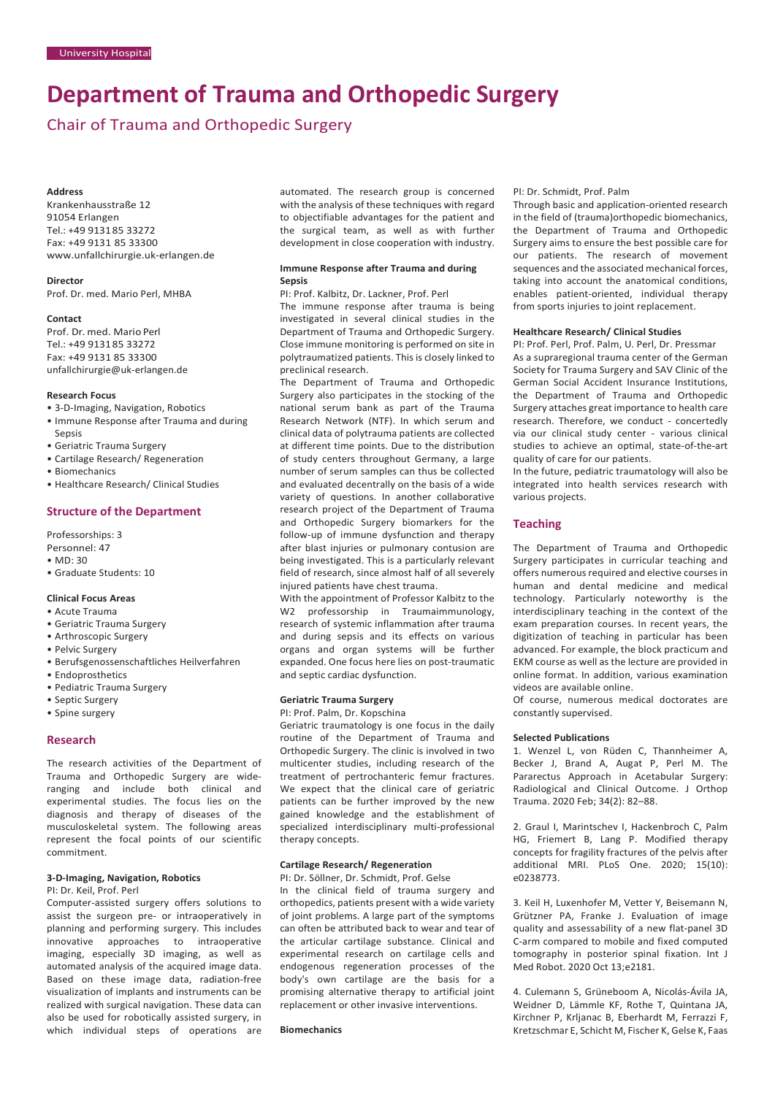# **Department of Trauma and Orthopedic Surgery**

Chair of Trauma and Orthopedic Surgery

#### **Address**

Krankenhausstraße 12 91054 Erlangen Tel.: +49 913185 33272 Fax: +49 9131 85 33300 [www.unfallchirurgie.uk-erlangen.de](http://www.unfallchirurgie.uk-erlangen.de/)

**Director**

Prof. Dr. med. Mario Perl, MHBA

#### **Contact**

Prof. Dr. med. Mario Perl Tel.: +49 913185 33272 Fax: +49 9131 85 33300 [unfallchirurgie@uk-erlangen.de](mailto:unfallchirurgie@uk-erlangen.de)

## **Research Focus**

- 3-D-Imaging, Navigation, Robotics
- Immune Response after Trauma and during Sepsis
- Geriatric Trauma Surgery
- Cartilage Research/ Regeneration
- Biomechanics
- Healthcare Research/ Clinical Studies

# **Structure of the Department**

Professorships: 3 Personnel: 47

- MD: 30
- Graduate Students: 10

## **Clinical Focus Areas**

#### • Acute Trauma

- Geriatric Trauma Surgery
- Arthroscopic Surgery
- Pelvic Surgery
- Berufsgenossenschaftliches Heilverfahren
- Endoprosthetics
- Pediatric Trauma Surgery
- Septic Surgery
- Spine surgery

## **Research**

The research activities of the Department of Trauma and Orthopedic Surgery are wideranging and include both clinical and experimental studies. The focus lies on the diagnosis and therapy of diseases of the musculoskeletal system. The following areas represent the focal points of our scientific commitment.

#### **3-D-Imaging, Navigation, Robotics**

## PI: Dr. Keil, Prof. Perl

Computer-assisted surgery offers solutions to assist the surgeon pre- or intraoperatively in planning and performing surgery. This includes innovative approaches to intraoperative imaging, especially 3D imaging, as well as automated analysis of the acquired image data. Based on these image data, radiation-free visualization of implants and instruments can be realized with surgical navigation. These data can also be used for robotically assisted surgery, in which individual steps of operations are automated. The research group is concerned with the analysis of these techniques with regard to objectifiable advantages for the patient and the surgical team, as well as with further development in close cooperation with industry.

## **Immune Response after Trauma and during Sepsis**

PI: Prof. Kalbitz, Dr. Lackner, Prof. Perl

The immune response after trauma is being investigated in several clinical studies in the Department of Trauma and Orthopedic Surgery. Close immune monitoring is performed on site in polytraumatized patients. This is closely linked to preclinical research.

The Department of Trauma and Orthopedic Surgery also participates in the stocking of the national serum bank as part of the Trauma Research Network (NTF). In which serum and clinical data of polytrauma patients are collected at different time points. Due to the distribution of study centers throughout Germany, a large number of serum samples can thus be collected and evaluated decentrally on the basis of a wide variety of questions. In another collaborative research project of the Department of Trauma and Orthopedic Surgery biomarkers for the follow-up of immune dysfunction and therapy after blast injuries or pulmonary contusion are being investigated. This is a particularly relevant field of research, since almost half of all severely injured patients have chest trauma.

With the appointment of Professor Kalbitz to the W2 professorship in Traumaimmunology, research of systemic inflammation after trauma and during sepsis and its effects on various organs and organ systems will be further expanded. One focus here lies on post-traumatic and septic cardiac dysfunction.

#### **Geriatric Trauma Surgery**

PI: Prof. Palm, Dr. Kopschina

Geriatric traumatology is one focus in the daily routine of the Department of Trauma and Orthopedic Surgery. The clinic is involved in two multicenter studies, including research of the treatment of pertrochanteric femur fractures. We expect that the clinical care of geriatric patients can be further improved by the new gained knowledge and the establishment of specialized interdisciplinary multi-professional therapy concepts.

# **Cartilage Research/ Regeneration**

PI: Dr. Söllner, Dr. Schmidt, Prof. Gelse

In the clinical field of trauma surgery and orthopedics, patients present with a wide variety of joint problems. A large part of the symptoms can often be attributed back to wear and tear of the articular cartilage substance. Clinical and experimental research on cartilage cells and endogenous regeneration processes of the body's own cartilage are the basis for a promising alternative therapy to artificial joint replacement or other invasive interventions.

# **Biomechanics**

## PI: Dr. Schmidt, Prof. Palm

Through basic and application-oriented research in the field of (trauma)orthopedic biomechanics, the Department of Trauma and Orthopedic Surgery aims to ensure the best possible care for our patients. The research of movement sequences and the associated mechanical forces, taking into account the anatomical conditions, enables patient-oriented, individual therapy from sports injuries to joint replacement.

### **Healthcare Research/ Clinical Studies**

PI: Prof. Perl, Prof. Palm, U. Perl, Dr. Pressmar As a supraregional trauma center of the German Society for Trauma Surgery and SAV Clinic of the German Social Accident Insurance Institutions, the Department of Trauma and Orthopedic Surgery attaches great importance to health care research. Therefore, we conduct - concertedly via our clinical study center - various clinical studies to achieve an optimal, state-of-the-art quality of care for our patients.

In the future, pediatric traumatology will also be integrated into health services research with various projects.

# **Teaching**

The Department of Trauma and Orthopedic Surgery participates in curricular teaching and offers numerous required and elective courses in human and dental medicine and medical technology. Particularly noteworthy is the interdisciplinary teaching in the context of the exam preparation courses. In recent years, the digitization of teaching in particular has been advanced. For example, the block practicum and EKM course as well as the lecture are provided in online format. In addition, various examination videos are available online.

Of course, numerous medical doctorates are constantly supervised.

#### **Selected Publications**

1. Wenzel L, von Rüden C, Thannheimer A, Becker J, Brand A, Augat P, Perl M. The Pararectus Approach in Acetabular Surgery: Radiological and Clinical Outcome. J Orthop Trauma. 2020 Feb; 34(2): 82–88.

2. Graul I, Marintschev I, Hackenbroch C, Palm HG, Friemert B, Lang P. Modified therapy concepts for fragility fractures of the pelvis after additional MRI. PLoS One. 2020; 15(10): e0238773.

3. Keil H, Luxenhofer M, Vetter Y, Beisemann N, Grützner PA, Franke J. Evaluation of image quality and assessability of a new flat-panel 3D C-arm compared to mobile and fixed computed tomography in posterior spinal fixation. Int J Med Robot. 2020 Oct 13;e2181.

4. Culemann S, Grüneboom A, Nicolás-Ávila JA, Weidner D, Lämmle KF, Rothe T, Quintana JA, Kirchner P, Krljanac B, Eberhardt M, Ferrazzi F, Kretzschmar E, Schicht M, Fischer K, Gelse K, Faas